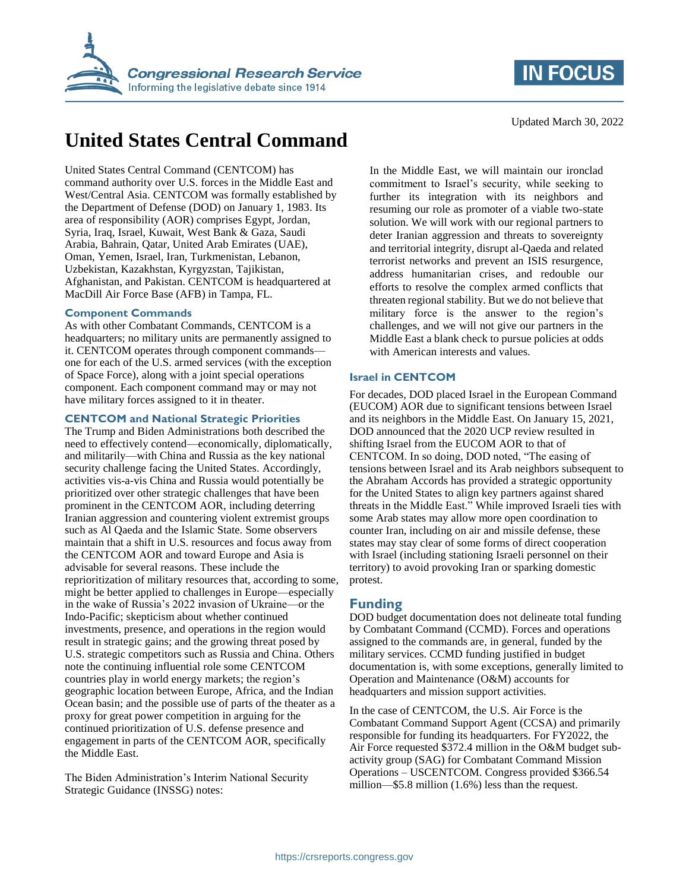



Updated March 30, 2022

# **United States Central Command**

United States Central Command (CENTCOM) has command authority over U.S. forces in the Middle East and West/Central Asia. CENTCOM was formally established by the Department of Defense (DOD) on January 1, 1983. Its area of responsibility (AOR) comprises Egypt, Jordan, Syria, Iraq, Israel, Kuwait, West Bank & Gaza, Saudi Arabia, Bahrain, Qatar, United Arab Emirates (UAE), Oman, Yemen, Israel, Iran, Turkmenistan, Lebanon, Uzbekistan, Kazakhstan, Kyrgyzstan, Tajikistan, Afghanistan, and Pakistan. CENTCOM is headquartered at MacDill Air Force Base (AFB) in Tampa, FL.

### **Component Commands**

As with other Combatant Commands, CENTCOM is a headquarters; no military units are permanently assigned to it. CENTCOM operates through component commands one for each of the U.S. armed services (with the exception of Space Force), along with a joint special operations component. Each component command may or may not have military forces assigned to it in theater.

## **CENTCOM and National Strategic Priorities**

The Trump and Biden Administrations both described the need to effectively contend—economically, diplomatically, and militarily—with China and Russia as the key national security challenge facing the United States. Accordingly, activities vis-a-vis China and Russia would potentially be prioritized over other strategic challenges that have been prominent in the CENTCOM AOR, including deterring Iranian aggression and countering violent extremist groups such as Al Qaeda and the Islamic State. Some observers maintain that a shift in U.S. resources and focus away from the CENTCOM AOR and toward Europe and Asia is advisable for several reasons. These include the reprioritization of military resources that, according to some, might be better applied to challenges in Europe—especially in the wake of Russia's 2022 invasion of Ukraine—or the Indo-Pacific; skepticism about whether continued investments, presence, and operations in the region would result in strategic gains; and the growing threat posed by U.S. strategic competitors such as Russia and China. Others note the continuing influential role some CENTCOM countries play in world energy markets; the region's geographic location between Europe, Africa, and the Indian Ocean basin; and the possible use of parts of the theater as a proxy for great power competition in arguing for the continued prioritization of U.S. defense presence and engagement in parts of the CENTCOM AOR, specifically the Middle East.

The Biden Administration's Interim National Security Strategic Guidance (INSSG) notes:

In the Middle East, we will maintain our ironclad commitment to Israel's security, while seeking to further its integration with its neighbors and resuming our role as promoter of a viable two-state solution. We will work with our regional partners to deter Iranian aggression and threats to sovereignty and territorial integrity, disrupt al-Qaeda and related terrorist networks and prevent an ISIS resurgence, address humanitarian crises, and redouble our efforts to resolve the complex armed conflicts that threaten regional stability. But we do not believe that military force is the answer to the region's challenges, and we will not give our partners in the Middle East a blank check to pursue policies at odds with American interests and values.

### **Israel in CENTCOM**

For decades, DOD placed Israel in the European Command (EUCOM) AOR due to significant tensions between Israel and its neighbors in the Middle East. On January 15, 2021, DOD announced that the 2020 UCP review resulted in shifting Israel from the EUCOM AOR to that of CENTCOM. In so doing, DOD noted, "The easing of tensions between Israel and its Arab neighbors subsequent to the Abraham Accords has provided a strategic opportunity for the United States to align key partners against shared threats in the Middle East." While improved Israeli ties with some Arab states may allow more open coordination to counter Iran, including on air and missile defense, these states may stay clear of some forms of direct cooperation with Israel (including stationing Israeli personnel on their territory) to avoid provoking Iran or sparking domestic protest.

## **Funding**

DOD budget documentation does not delineate total funding by Combatant Command (CCMD). Forces and operations assigned to the commands are, in general, funded by the military services. CCMD funding justified in budget documentation is, with some exceptions, generally limited to Operation and Maintenance (O&M) accounts for headquarters and mission support activities.

In the case of CENTCOM, the U.S. Air Force is the Combatant Command Support Agent (CCSA) and primarily responsible for funding its headquarters. For FY2022, the Air Force requested \$372.4 million in the O&M budget subactivity group (SAG) for Combatant Command Mission Operations – USCENTCOM. Congress provided \$366.54 million—\$5.8 million (1.6%) less than the request.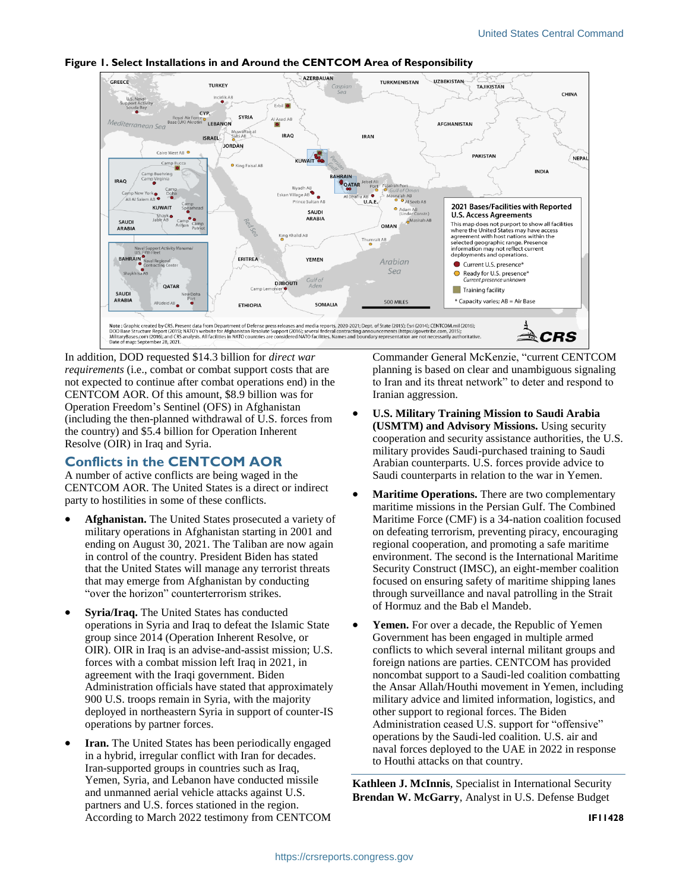

### **Figure 1. Select Installations in and Around the CENTCOM Area of Responsibility**

In addition, DOD requested \$14.3 billion for *direct war requirements* (i.e., combat or combat support costs that are not expected to continue after combat operations end) in the CENTCOM AOR. Of this amount, \$8.9 billion was for Operation Freedom's Sentinel (OFS) in Afghanistan (including the then-planned withdrawal of U.S. forces from the country) and \$5.4 billion for Operation Inherent Resolve (OIR) in Iraq and Syria.

## **Conflicts in the CENTCOM AOR**

A number of active conflicts are being waged in the CENTCOM AOR. The United States is a direct or indirect party to hostilities in some of these conflicts.

- **Afghanistan.** The United States prosecuted a variety of military operations in Afghanistan starting in 2001 and ending on August 30, 2021. The Taliban are now again in control of the country. President Biden has stated that the United States will manage any terrorist threats that may emerge from Afghanistan by conducting "over the horizon" counterterrorism strikes.
- **Syria/Iraq.** The United States has conducted operations in Syria and Iraq to defeat the Islamic State group since 2014 (Operation Inherent Resolve, or OIR). OIR in Iraq is an advise-and-assist mission; U.S. forces with a combat mission left Iraq in 2021, in agreement with the Iraqi government. Biden Administration officials have stated that approximately 900 U.S. troops remain in Syria, with the majority deployed in northeastern Syria in support of counter-IS operations by partner forces.
- **Iran.** The United States has been periodically engaged in a hybrid, irregular conflict with Iran for decades. Iran-supported groups in countries such as Iraq, Yemen, Syria, and Lebanon have conducted missile and unmanned aerial vehicle attacks against U.S. partners and U.S. forces stationed in the region. According to March 2022 testimony from CENTCOM

Commander General McKenzie, "current CENTCOM planning is based on clear and unambiguous signaling to Iran and its threat network" to deter and respond to Iranian aggression.

- **U.S. Military Training Mission to Saudi Arabia (USMTM) and Advisory Missions.** Using security cooperation and security assistance authorities, the U.S. military provides Saudi-purchased training to Saudi Arabian counterparts. U.S. forces provide advice to Saudi counterparts in relation to the war in Yemen.
- **Maritime Operations.** There are two complementary maritime missions in the Persian Gulf. The Combined Maritime Force (CMF) is a 34-nation coalition focused on defeating terrorism, preventing piracy, encouraging regional cooperation, and promoting a safe maritime environment. The second is the International Maritime Security Construct (IMSC), an eight-member coalition focused on ensuring safety of maritime shipping lanes through surveillance and naval patrolling in the Strait of Hormuz and the Bab el Mandeb.
- Yemen. For over a decade, the Republic of Yemen Government has been engaged in multiple armed conflicts to which several internal militant groups and foreign nations are parties. CENTCOM has provided noncombat support to a Saudi-led coalition combatting the Ansar Allah/Houthi movement in Yemen, including military advice and limited information, logistics, and other support to regional forces. The Biden Administration ceased U.S. support for "offensive" operations by the Saudi-led coalition. U.S. air and naval forces deployed to the UAE in 2022 in response to Houthi attacks on that country.

**Kathleen J. McInnis**, Specialist in International Security **Brendan W. McGarry**, Analyst in U.S. Defense Budget